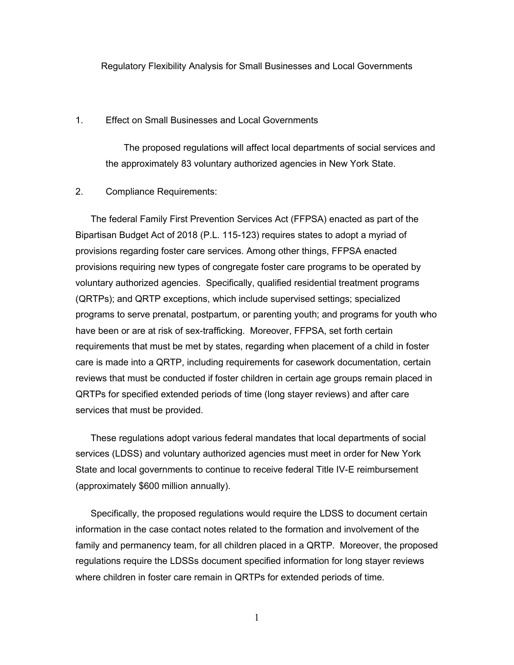Regulatory Flexibility Analysis for Small Businesses and Local Governments

## 1. Effect on Small Businesses and Local Governments

 The proposed regulations will affect local departments of social services and the approximately 83 voluntary authorized agencies in New York State.

## 2. Compliance Requirements:

The federal Family First Prevention Services Act (FFPSA) enacted as part of the Bipartisan Budget Act of 2018 (P.L. 115-123) requires states to adopt a myriad of provisions regarding foster care services. Among other things, FFPSA enacted provisions requiring new types of congregate foster care programs to be operated by voluntary authorized agencies. Specifically, qualified residential treatment programs (QRTPs); and QRTP exceptions, which include supervised settings; specialized programs to serve prenatal, postpartum, or parenting youth; and programs for youth who have been or are at risk of sex-trafficking. Moreover, FFPSA, set forth certain requirements that must be met by states, regarding when placement of a child in foster care is made into a QRTP, including requirements for casework documentation, certain reviews that must be conducted if foster children in certain age groups remain placed in QRTPs for specified extended periods of time (long stayer reviews) and after care services that must be provided.

These regulations adopt various federal mandates that local departments of social services (LDSS) and voluntary authorized agencies must meet in order for New York State and local governments to continue to receive federal Title IV-E reimbursement (approximately \$600 million annually).

Specifically, the proposed regulations would require the LDSS to document certain information in the case contact notes related to the formation and involvement of the family and permanency team, for all children placed in a QRTP. Moreover, the proposed regulations require the LDSSs document specified information for long stayer reviews where children in foster care remain in QRTPs for extended periods of time.

1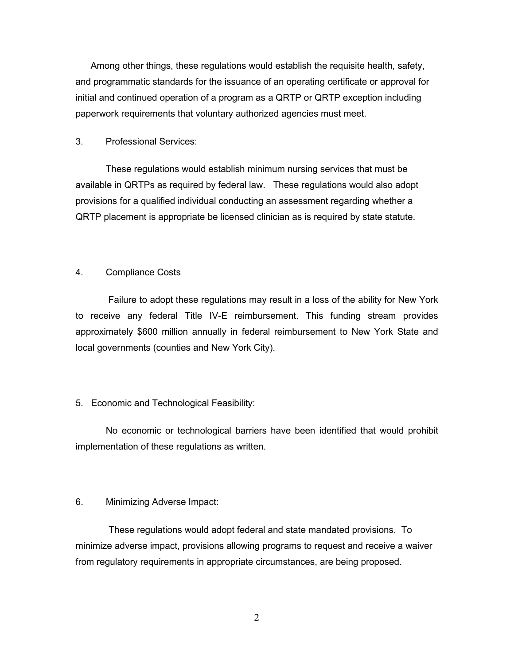Among other things, these regulations would establish the requisite health, safety, and programmatic standards for the issuance of an operating certificate or approval for initial and continued operation of a program as a QRTP or QRTP exception including paperwork requirements that voluntary authorized agencies must meet.

#### 3. Professional Services:

These regulations would establish minimum nursing services that must be available in QRTPs as required by federal law. These regulations would also adopt provisions for a qualified individual conducting an assessment regarding whether a QRTP placement is appropriate be licensed clinician as is required by state statute.

# 4. Compliance Costs

Failure to adopt these regulations may result in a loss of the ability for New York to receive any federal Title IV-E reimbursement. This funding stream provides approximately \$600 million annually in federal reimbursement to New York State and local governments (counties and New York City).

### 5. Economic and Technological Feasibility:

No economic or technological barriers have been identified that would prohibit implementation of these regulations as written.

#### 6. Minimizing Adverse Impact:

 These regulations would adopt federal and state mandated provisions. To minimize adverse impact, provisions allowing programs to request and receive a waiver from regulatory requirements in appropriate circumstances, are being proposed.